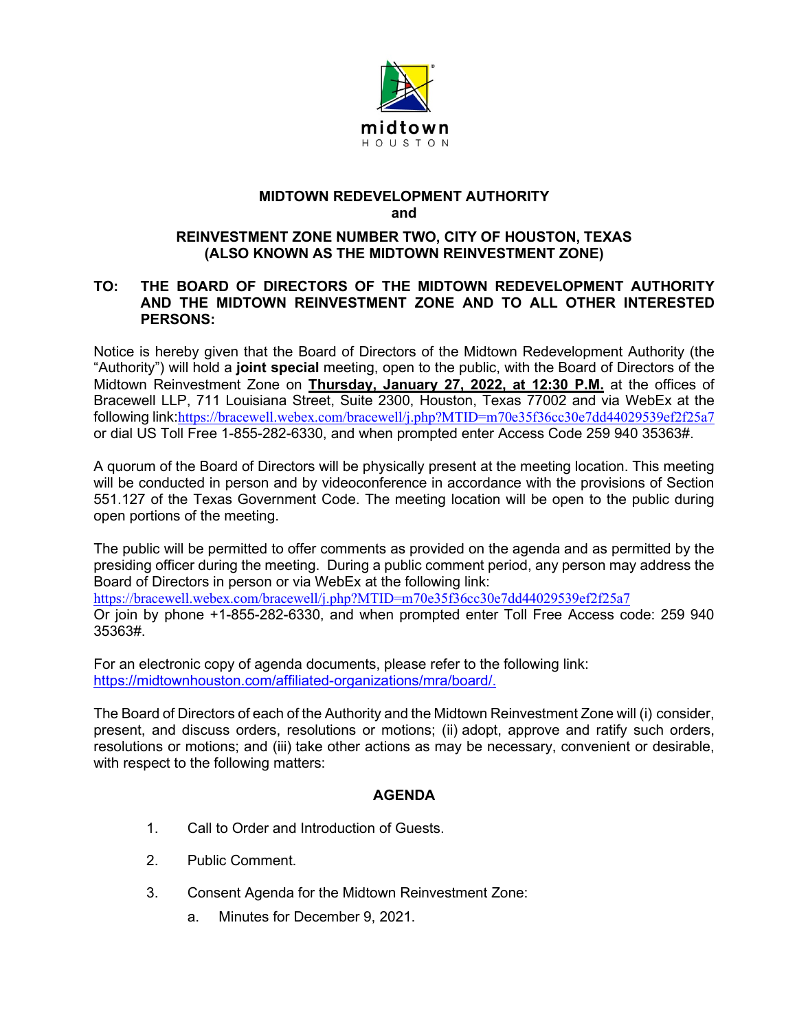

## **MIDTOWN REDEVELOPMENT AUTHORITY and**

## **REINVESTMENT ZONE NUMBER TWO, CITY OF HOUSTON, TEXAS (ALSO KNOWN AS THE MIDTOWN REINVESTMENT ZONE)**

## **TO: THE BOARD OF DIRECTORS OF THE MIDTOWN REDEVELOPMENT AUTHORITY AND THE MIDTOWN REINVESTMENT ZONE AND TO ALL OTHER INTERESTED PERSONS:**

Notice is hereby given that the Board of Directors of the Midtown Redevelopment Authority (the "Authority") will hold a **joint special** meeting, open to the public, with the Board of Directors of the Midtown Reinvestment Zone on **Thursday, January 27, 2022, at 12:30 P.M.** at the offices of Bracewell LLP, 711 Louisiana Street, Suite 2300, Houston, Texas 77002 and via WebEx at the following link:<https://bracewell.webex.com/bracewell/j.php?MTID=m70e35f36cc30e7dd44029539ef2f25a7> or dial US Toll Free 1-855-282-6330, and when prompted enter Access Code 259 940 35363#.

A quorum of the Board of Directors will be physically present at the meeting location. This meeting will be conducted in person and by videoconference in accordance with the provisions of Section 551.127 of the Texas Government Code. The meeting location will be open to the public during open portions of the meeting.

The public will be permitted to offer comments as provided on the agenda and as permitted by the presiding officer during the meeting. During a public comment period, any person may address the Board of Directors in person or via WebEx at the following link:

<https://bracewell.webex.com/bracewell/j.php?MTID=m70e35f36cc30e7dd44029539ef2f25a7>

Or join by phone +1-855-282-6330, and when prompted enter Toll Free Access code: 259 940 35363#.

For an electronic copy of agenda documents, please refer to the following link: [https://midtownhouston.com/affiliated-organizations/mra/board/.](https://midtownhouston.com/affiliated-organizations/mra/board/)

The Board of Directors of each of the Authority and the Midtown Reinvestment Zone will (i) consider, present, and discuss orders, resolutions or motions; (ii) adopt, approve and ratify such orders, resolutions or motions; and (iii) take other actions as may be necessary, convenient or desirable, with respect to the following matters:

## **AGENDA**

- 1. Call to Order and Introduction of Guests.
- 2. Public Comment.
- 3. Consent Agenda for the Midtown Reinvestment Zone:
	- a. Minutes for December 9, 2021.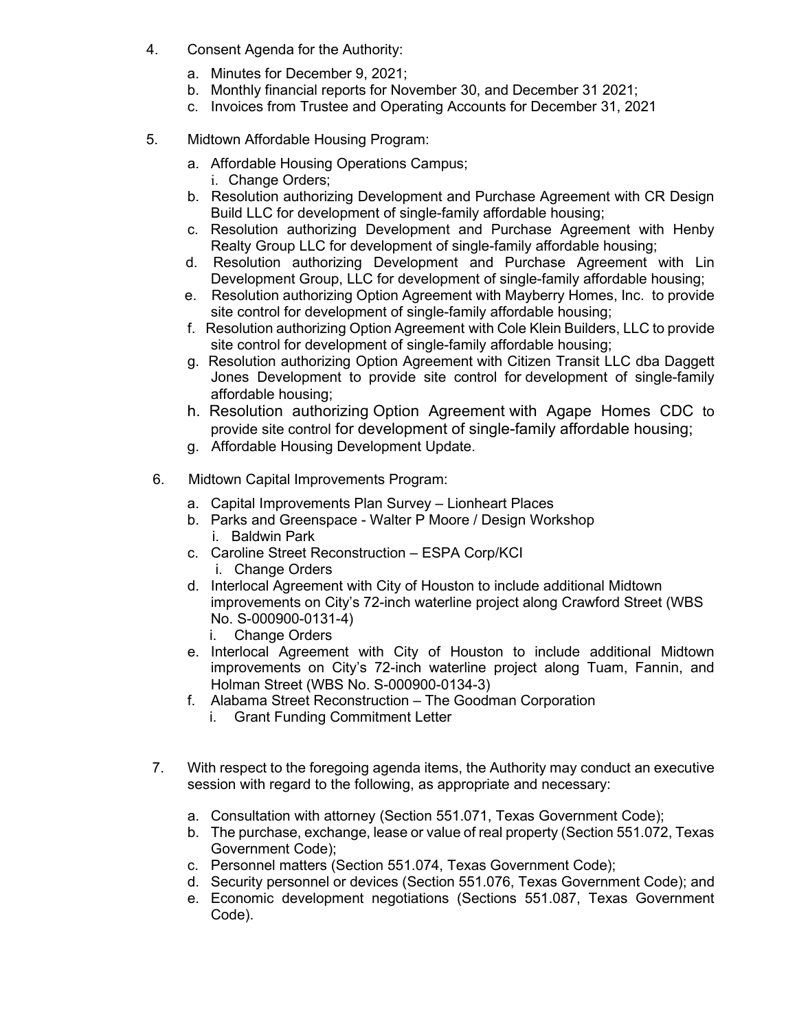- 4. Consent Agenda for the Authority:
	- a. Minutes for December 9, 2021;
	- b. Monthly financial reports for November 30, and December 31 2021;
	- c. Invoices from Trustee and Operating Accounts for December 31, 2021
- 5. Midtown Affordable Housing Program:
	- a. Affordable Housing Operations Campus;
		- i. Change Orders;
	- b. Resolution authorizing Development and Purchase Agreement with CR Design Build LLC for development of single-family affordable housing;
	- c. Resolution authorizing Development and Purchase Agreement with Henby Realty Group LLC for development of single-family affordable housing;
	- d. Resolution authorizing Development and Purchase Agreement with Lin Development Group, LLC for development of single-family affordable housing;
	- e. Resolution authorizing Option Agreement with Mayberry Homes, Inc. to provide site control for development of single-family affordable housing;
	- f. Resolution authorizing Option Agreement with Cole Klein Builders, LLC to provide site control for development of single-family affordable housing;
	- g. Resolution authorizing Option Agreement with Citizen Transit LLC dba Daggett Jones Development to provide site control for development of single-family affordable housing;
	- h. Resolution authorizing Option Agreement with Agape Homes CDC to provide site control for development of single-family affordable housing;
	- g. Affordable Housing Development Update.
- 6. Midtown Capital Improvements Program:
	- a. Capital Improvements Plan Survey Lionheart Places
	- b. Parks and Greenspace Walter P Moore / Design Workshop i. Baldwin Park
	- c. Caroline Street Reconstruction ESPA Corp/KCI
		- i. Change Orders
	- d. Interlocal Agreement with City of Houston to include additional Midtown improvements on City's 72-inch waterline project along Crawford Street (WBS No. S-000900-0131-4)
		- i. Change Orders
	- e. Interlocal Agreement with City of Houston to include additional Midtown improvements on City's 72-inch waterline project along Tuam, Fannin, and Holman Street (WBS No. S-000900-0134-3)
	- f. Alabama Street Reconstruction The Goodman Corporation
		- i. Grant Funding Commitment Letter
- 7. With respect to the foregoing agenda items, the Authority may conduct an executive session with regard to the following, as appropriate and necessary:
	- a. Consultation with attorney (Section 551.071, Texas Government Code);
	- b. The purchase, exchange, lease or value of real property (Section 551.072, Texas Government Code);
	- c. Personnel matters (Section 551.074, Texas Government Code);
	- d. Security personnel or devices (Section 551.076, Texas Government Code); and
	- e. Economic development negotiations (Sections 551.087, Texas Government Code).